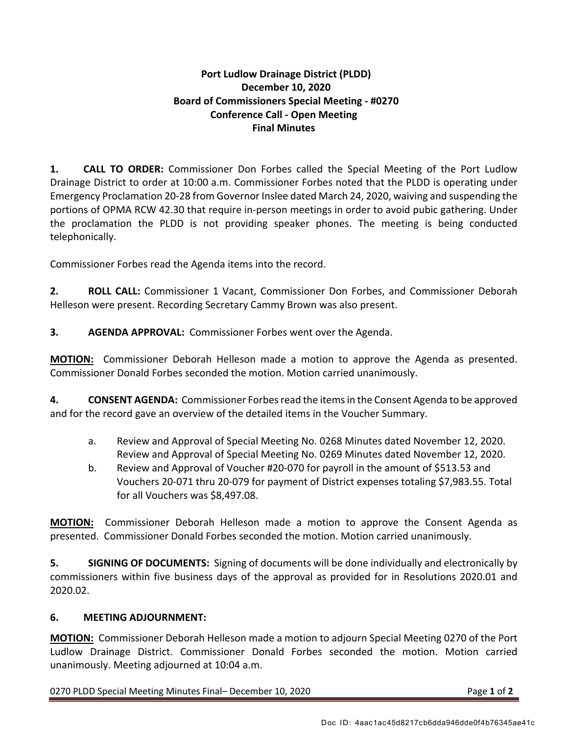# **Port Ludlow Drainage District (PLDD) December 10, 2020 Board of Commissioners Special Meeting - #0270 Conference Call - Open Meeting Final Minutes**

**1. CALL TO ORDER:** Commissioner Don Forbes called the Special Meeting of the Port Ludlow Drainage District to order at 10:00 a.m. Commissioner Forbes noted that the PLDD is operating under Emergency Proclamation 20-28 from Governor Inslee dated March 24, 2020, waiving and suspending the portions of OPMA RCW 42.30 that require in-person meetings in order to avoid pubic gathering. Under the proclamation the PLDD is not providing speaker phones. The meeting is being conducted telephonically.

Commissioner Forbes read the Agenda items into the record.

**2. ROLL CALL:** Commissioner 1 Vacant, Commissioner Don Forbes, and Commissioner Deborah Helleson were present. Recording Secretary Cammy Brown was also present.

**3. AGENDA APPROVAL:** Commissioner Forbes went over the Agenda.

**MOTION:** Commissioner Deborah Helleson made a motion to approve the Agenda as presented. Commissioner Donald Forbes seconded the motion. Motion carried unanimously.

**4. CONSENT AGENDA:** Commissioner Forbes read the items in the Consent Agenda to be approved and for the record gave an overview of the detailed items in the Voucher Summary.

- a. Review and Approval of Special Meeting No. 0268 Minutes dated November 12, 2020. Review and Approval of Special Meeting No. 0269 Minutes dated November 12, 2020.
- b. Review and Approval of Voucher #20-070 for payroll in the amount of \$513.53 and Vouchers 20-071 thru 20-079 for payment of District expenses totaling \$7,983.55. Total for all Vouchers was \$8,497.08.

**MOTION:** Commissioner Deborah Helleson made a motion to approve the Consent Agenda as presented. Commissioner Donald Forbes seconded the motion. Motion carried unanimously.

**5. SIGNING OF DOCUMENTS:** Signing of documents will be done individually and electronically by commissioners within five business days of the approval as provided for in Resolutions 2020.01 and 2020.02.

### **6. MEETING ADJOURNMENT:**

**MOTION:** Commissioner Deborah Helleson made a motion to adjourn Special Meeting 0270 of the Port Ludlow Drainage District. Commissioner Donald Forbes seconded the motion. Motion carried unanimously. Meeting adjourned at 10:04 a.m.

0270 PLDD Special Meeting Minutes Final– December 10, 2020 Page **1** of **2**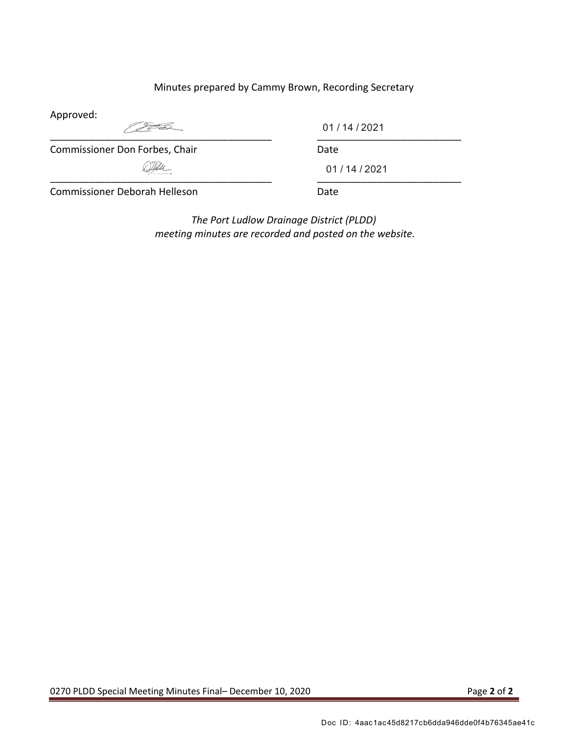## Minutes prepared by Cammy Brown, Recording Secretary

Approved:

 $\overbrace{\phantom{xxxxx}}$  ,  $\overbrace{\phantom{xxxxx}}$  ,  $\overbrace{\phantom{xxxxx}}$  ,  $\overbrace{\phantom{xxxxx}}$  ,  $\overbrace{\phantom{xxxxx}}$  ,  $\overbrace{\phantom{xxxxx}}$  ,  $\overbrace{\phantom{xxxxx}}$  ,  $\overbrace{\phantom{xxxxx}}$  ,  $\overbrace{\phantom{xxxxx}}$  ,  $\overbrace{\phantom{xxxxx}}$  ,  $\overbrace{\phantom{xxxxx}}$  ,  $\overbrace{\phantom{xxxxx}}$  ,  $\overbrace{\phantom{xxxxx}}$  ,  $\overbrace{\phantom{xxxxx}}$  ,  $\overbrace{\phantom{xxxxx}}$ 

01 / 14 / 2021

Commissioner Don Forbes, Chair Date

 $\overbrace{\phantom{xxxxx}}$ 

01 / 14 / 2021

Commissioner Deborah Helleson Date

*The Port Ludlow Drainage District (PLDD) meeting minutes are recorded and posted on the website.*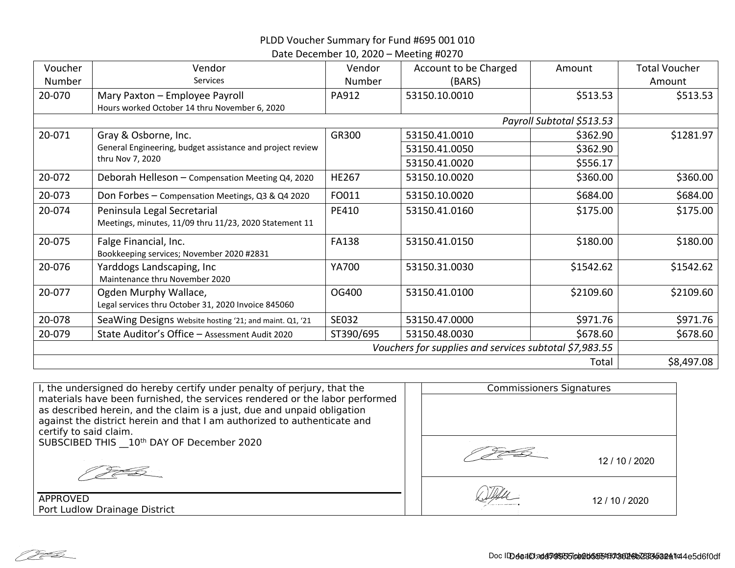# PLDD Voucher Summary for Fund #695 001 010

#### Date December 10, 2020 – Meeting #0270

| Voucher                                                | Vendor                                                                                | Vendor       | Account to be Charged | Amount    | <b>Total Voucher</b> |
|--------------------------------------------------------|---------------------------------------------------------------------------------------|--------------|-----------------------|-----------|----------------------|
| Number                                                 | <b>Services</b>                                                                       | Number       | (BARS)                |           | Amount               |
| 20-070                                                 | Mary Paxton - Employee Payroll<br>Hours worked October 14 thru November 6, 2020       | PA912        | 53150.10.0010         | \$513.53  | \$513.53             |
| Payroll Subtotal \$513.53                              |                                                                                       |              |                       |           |                      |
| 20-071                                                 | Gray & Osborne, Inc.                                                                  | GR300        | 53150.41.0010         | \$362.90  | \$1281.97            |
|                                                        | General Engineering, budget assistance and project review<br>thru Nov 7, 2020         |              | 53150.41.0050         | \$362.90  |                      |
|                                                        |                                                                                       |              | 53150.41.0020         | \$556.17  |                      |
| 20-072                                                 | Deborah Helleson - Compensation Meeting Q4, 2020                                      | <b>HE267</b> | 53150.10.0020         | \$360.00  | \$360.00             |
| 20-073                                                 | Don Forbes - Compensation Meetings, Q3 & Q4 2020                                      | FO011        | 53150.10.0020         | \$684.00  | \$684.00             |
| 20-074                                                 | Peninsula Legal Secretarial<br>Meetings, minutes, 11/09 thru 11/23, 2020 Statement 11 | PE410        | 53150.41.0160         | \$175.00  | \$175.00             |
| 20-075                                                 | Falge Financial, Inc.<br>Bookkeeping services; November 2020 #2831                    | <b>FA138</b> | 53150.41.0150         | \$180.00  | \$180.00             |
| 20-076                                                 | Yarddogs Landscaping, Inc<br>Maintenance thru November 2020                           | YA700        | 53150.31.0030         | \$1542.62 | \$1542.62            |
| 20-077                                                 | Ogden Murphy Wallace,<br>Legal services thru October 31, 2020 Invoice 845060          | OG400        | 53150.41.0100         | \$2109.60 | \$2109.60            |
| 20-078                                                 | SeaWing Designs Website hosting '21; and maint. Q1, '21                               | SE032        | 53150.47.0000         | \$971.76  | \$971.76             |
| 20-079                                                 | State Auditor's Office - Assessment Audit 2020                                        | ST390/695    | 53150.48.0030         | \$678.60  | \$678.60             |
| Vouchers for supplies and services subtotal \$7,983.55 |                                                                                       |              |                       |           |                      |
| Total                                                  |                                                                                       |              |                       |           | \$8,497.08           |

| I, the undersigned do hereby certify under penalty of perjury, that the                                                                                |  | <b>Commissioners Signatures</b> |                |  |
|--------------------------------------------------------------------------------------------------------------------------------------------------------|--|---------------------------------|----------------|--|
| materials have been furnished, the services rendered or the labor performed<br>as described herein, and the claim is a just, due and unpaid obligation |  |                                 |                |  |
| against the district herein and that I am authorized to authenticate and                                                                               |  |                                 |                |  |
| certify to said claim.<br>SUBSCIBED THIS 10th DAY OF December 2020                                                                                     |  |                                 |                |  |
|                                                                                                                                                        |  |                                 |                |  |
|                                                                                                                                                        |  |                                 | 12 / 10 / 2020 |  |
|                                                                                                                                                        |  |                                 |                |  |
|                                                                                                                                                        |  |                                 |                |  |
| <b>APPROVED</b>                                                                                                                                        |  |                                 | 12 / 10 / 2020 |  |
| Port Ludlow Drainage District                                                                                                                          |  |                                 |                |  |

Pt B